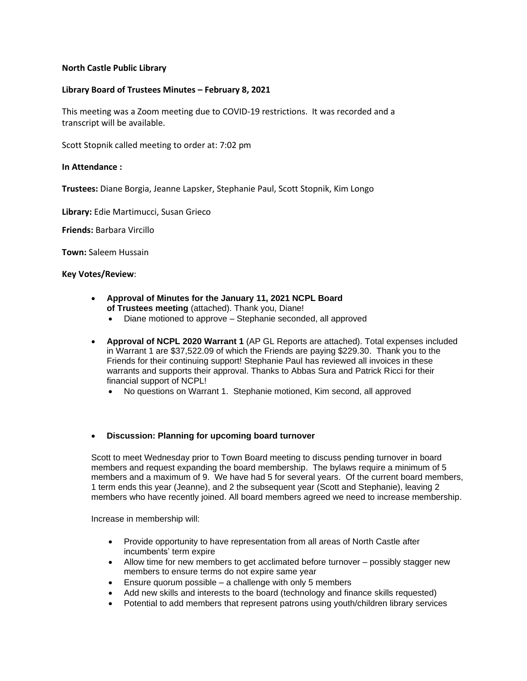# **North Castle Public Library**

## **Library Board of Trustees Minutes – February 8, 2021**

This meeting was a Zoom meeting due to COVID-19 restrictions. It was recorded and a transcript will be available.

Scott Stopnik called meeting to order at: 7:02 pm

## **In Attendance :**

**Trustees:** Diane Borgia, Jeanne Lapsker, Stephanie Paul, Scott Stopnik, Kim Longo

**Library:** Edie Martimucci, Susan Grieco

**Friends:** Barbara Vircillo

**Town:** Saleem Hussain

#### **Key Votes/Review**:

- **Approval of Minutes for the January 11, 2021 NCPL Board of Trustees meeting** (attached). Thank you, Diane!
	- Diane motioned to approve Stephanie seconded, all approved
- **Approval of NCPL 2020 Warrant 1** (AP GL Reports are attached). Total expenses included in Warrant 1 are \$37,522.09 of which the Friends are paying \$229.30. Thank you to the Friends for their continuing support! Stephanie Paul has reviewed all invoices in these warrants and supports their approval. Thanks to Abbas Sura and Patrick Ricci for their financial support of NCPL!
	- No questions on Warrant 1. Stephanie motioned, Kim second, all approved

## • **Discussion: Planning for upcoming board turnover**

Scott to meet Wednesday prior to Town Board meeting to discuss pending turnover in board members and request expanding the board membership. The bylaws require a minimum of 5 members and a maximum of 9. We have had 5 for several years. Of the current board members, 1 term ends this year (Jeanne), and 2 the subsequent year (Scott and Stephanie), leaving 2 members who have recently joined. All board members agreed we need to increase membership.

Increase in membership will:

- Provide opportunity to have representation from all areas of North Castle after incumbents' term expire
- Allow time for new members to get acclimated before turnover possibly stagger new members to ensure terms do not expire same year
- Ensure quorum possible a challenge with only 5 members
- Add new skills and interests to the board (technology and finance skills requested)
- Potential to add members that represent patrons using youth/children library services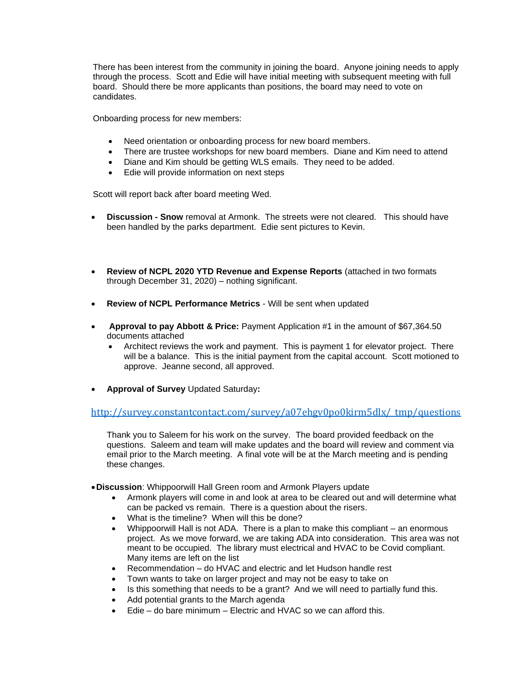There has been interest from the community in joining the board. Anyone joining needs to apply through the process. Scott and Edie will have initial meeting with subsequent meeting with full board. Should there be more applicants than positions, the board may need to vote on candidates.

Onboarding process for new members:

- Need orientation or onboarding process for new board members.
- There are trustee workshops for new board members. Diane and Kim need to attend
- Diane and Kim should be getting WLS emails. They need to be added.
- Edie will provide information on next steps

Scott will report back after board meeting Wed.

- **Discussion - Snow** removal at Armonk. The streets were not cleared. This should have been handled by the parks department. Edie sent pictures to Kevin.
- **Review of NCPL 2020 YTD Revenue and Expense Reports** (attached in two formats through December 31, 2020) – nothing significant.
- **Review of NCPL Performance Metrics** Will be sent when updated
- **Approval to pay Abbott & Price:** Payment Application #1 in the amount of \$67,364.50 documents attached
	- Architect reviews the work and payment. This is payment 1 for elevator project. There will be a balance. This is the initial payment from the capital account. Scott motioned to approve. Jeanne second, all approved.
- **Approval of Survey** Updated Saturday**:**

# [http://survey.constantcontact.com/survey/a07ehgv0po0kirm5dlx/\\_tmp/questions](http://survey.constantcontact.com/survey/a07ehgv0po0kirm5dlx/_tmp/questions)

Thank you to Saleem for his work on the survey. The board provided feedback on the questions. Saleem and team will make updates and the board will review and comment via email prior to the March meeting. A final vote will be at the March meeting and is pending these changes.

- •**Discussion**: Whippoorwill Hall Green room and Armonk Players update
	- Armonk players will come in and look at area to be cleared out and will determine what can be packed vs remain. There is a question about the risers.
	- What is the timeline? When will this be done?
	- Whippoorwill Hall is not ADA. There is a plan to make this compliant an enormous project. As we move forward, we are taking ADA into consideration. This area was not meant to be occupied. The library must electrical and HVAC to be Covid compliant. Many items are left on the list
	- Recommendation do HVAC and electric and let Hudson handle rest
	- Town wants to take on larger project and may not be easy to take on
	- Is this something that needs to be a grant? And we will need to partially fund this.
	- Add potential grants to the March agenda
	- $E$ die do bare minimum Electric and HVAC so we can afford this.